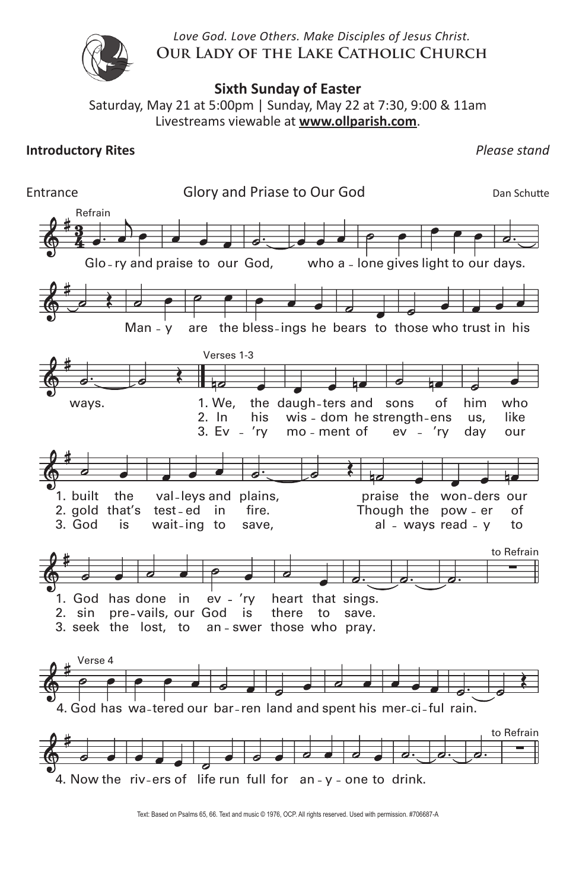*Love God. Love Others. Make Disciples of Jesus Christ.* **Our Lady of the Lake Catholic Church**



**Sixth Sunday of Easter**

Saturday, May 21 at 5:00pm | Sunday, May 22 at 7:30, 9:00 & 11am Livestreams viewable at **www.ollparish.com**.

### **Introductory Rites** *Please stand*



Text: Based on Psalms 65, 66. Text and music © 1976, OCP. All rights reserved. Used with permission. #706687-A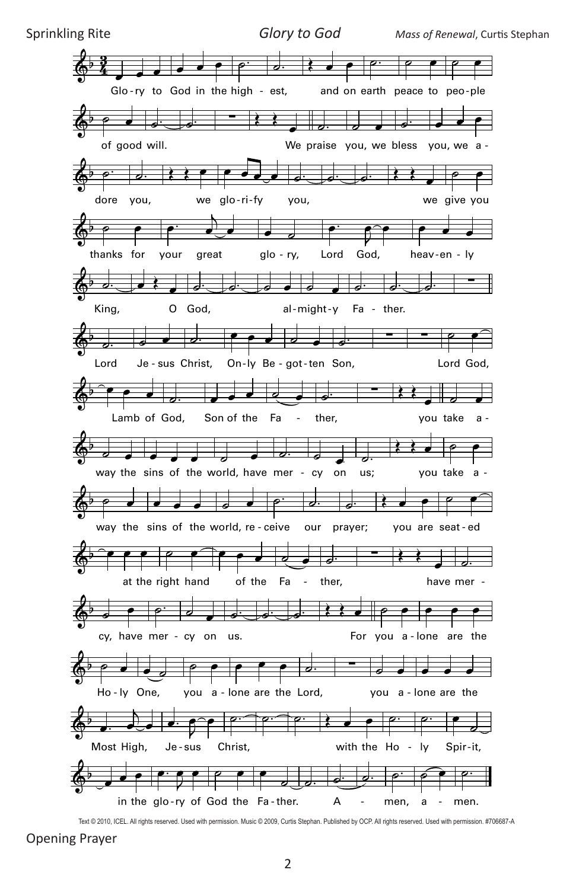

Text @ 2010, ICEL. All rights reserved. Used with permission. Music @ 2009, Curtis Stephan. Published by OCP. All rights reserved. Used with permission. #706687-A

**Opening Prayer**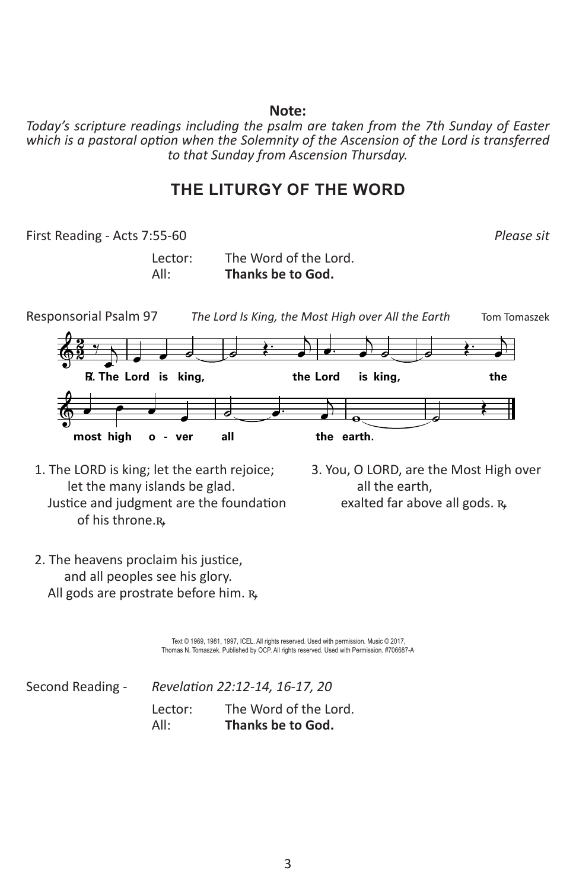#### **Note:**

*Today's scripture readings including the psalm are taken from the 7th Sunday of Easter which is a pastoral option when the Solemnity of the Ascension of the Lord is transferred to that Sunday from Ascension Thursday.*

### **THE LITURGY OF THE WORD**

First Reading - Acts 7:55-60 *Please sit*

Lector: The Word of the Lord. All: **Thanks be to God.**

Responsorial Psalm 97 The Lord Is King, the Most High over All the Earth Tom Tomaszek



- 1. The LORD is king; let the earth rejoice;  $3.$  You, O LORD, are the let the many islands be glad. Justice and judgment are the foundation of his throne. $R<sub>4</sub>$
- 3. You, O LORD, are the Most High over all the earth, exalted far above all gods.  $R_{\mu}$
- 2. The heavens proclaim his justice, and all peoples see his glory. All gods are prostrate before him.  $R_{\mu}$

 Text © 1969, 1981, 1997, ICEL. All rights reserved. Used with permission. Music © 2017, Thomas N. Tomaszek. Published by OCP. All rights reserved. Used with Permission. #706687-A

|                  | Lector:<br>All:                | The Word of the Lord.<br>Thanks be to God. |
|------------------|--------------------------------|--------------------------------------------|
| Second Reading - | Revelation 22:12-14, 16-17, 20 |                                            |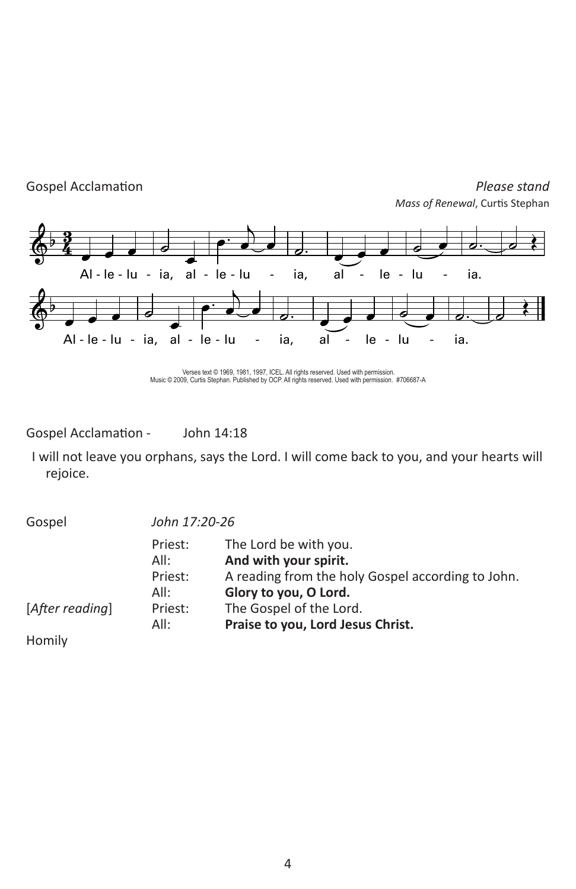

Gospel Acclamation *Please stand*

Gospel Acclamation - John 14:18

I will not leave you orphans, says the Lord. I will come back to you, and your hearts will rejoice.

| Gospel          | John 17:20-26                      |                                                                                                                              |  |
|-----------------|------------------------------------|------------------------------------------------------------------------------------------------------------------------------|--|
|                 | Priest:<br>All:<br>Priest:<br>All: | The Lord be with you.<br>And with your spirit.<br>A reading from the holy Gospel according to John.<br>Glory to you, O Lord. |  |
| [After reading] | Priest:<br>All:                    | The Gospel of the Lord.<br>Praise to you, Lord Jesus Christ.                                                                 |  |
| Homily          |                                    |                                                                                                                              |  |

Verses text © 1969, 1981, 1997, ICEL. All rights reserved. Used with permission.<br>Music © 2009, Curtis Stephan. Published by OCP. All rights reserved. Used with permission. #706687-A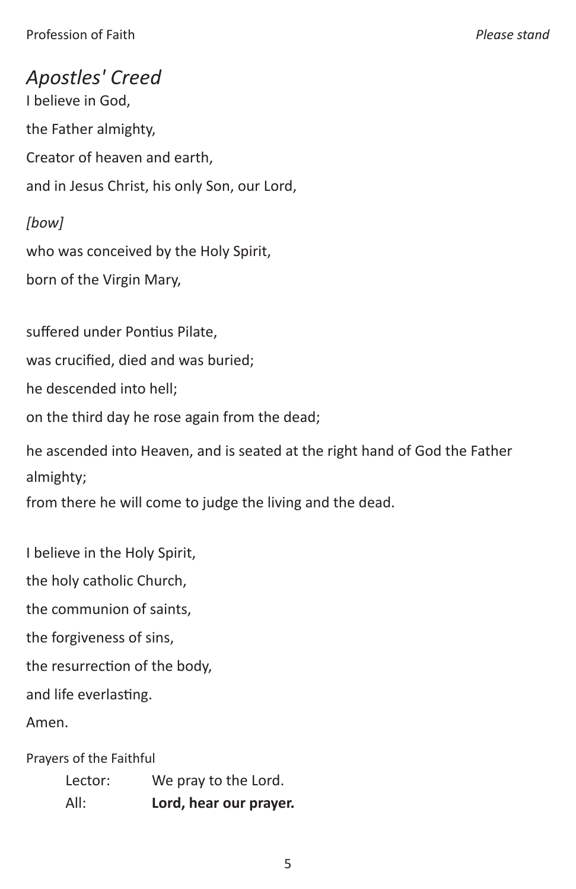# *Apostles' Creed*

I believe in God, the Father almighty, Creator of heaven and earth, and in Jesus Christ, his only Son, our Lord,

### *[bow]*

who was conceived by the Holy Spirit, born of the Virgin Mary,

suffered under Pontius Pilate,

was crucified, died and was buried;

he descended into hell;

on the third day he rose again from the dead;

he ascended into Heaven, and is seated at the right hand of God the Father almighty;

from there he will come to judge the living and the dead.

I believe in the Holy Spirit,

the holy catholic Church,

the communion of saints,

the forgiveness of sins,

the resurrection of the body,

and life everlasting.

Amen.

Prayers of the Faithful

Lector: We pray to the Lord. All: **Lord, hear our prayer.**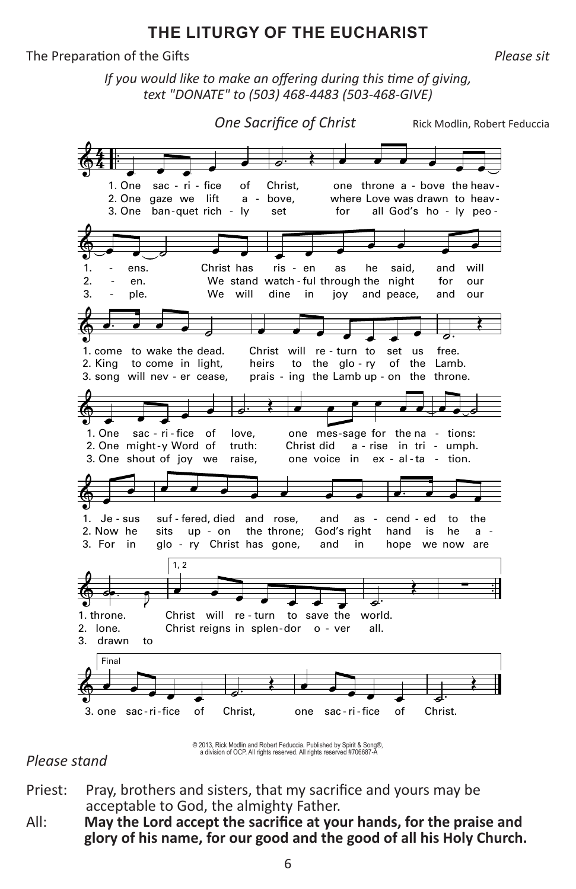## THE LITURGY OF THE EUCHARIST

The Preparation of the Gifts

Please sit

If you would like to make an offering during this time of giving, text "DONATE" to (503) 468-4483 (503-468-GIVE)



Please stand

- Priest: Pray, brothers and sisters, that my sacrifice and yours may be acceptable to God, the almighty Father.
- $All:$ May the Lord accept the sacrifice at your hands, for the praise and glory of his name, for our good and the good of all his Holy Church.

© 2013, Rick Modlin and Robert Feduccia. Published by Spirit & Song®, a division of OCP. All rights reserved. All rights reserved #706687-A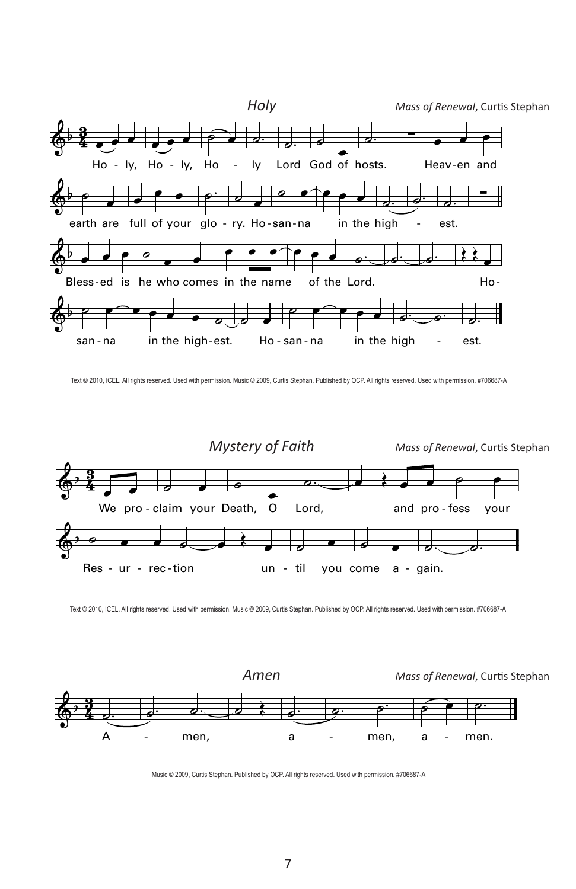

Text @ 2010, ICEL. All rights reserved. Used with permission. Music @ 2009, Curtis Stephan. Published by OCP. All rights reserved. Used with permission. #706687-A



Text © 2010, ICEL. All rights reserved. Used with permission. Music © 2009, Curtis Stephan. Published by OCP. All rights reserved. Used with permission. #706687-A



Music © 2009, Curtis Stephan. Published by OCP. All rights reserved. Used with permission. #706687-A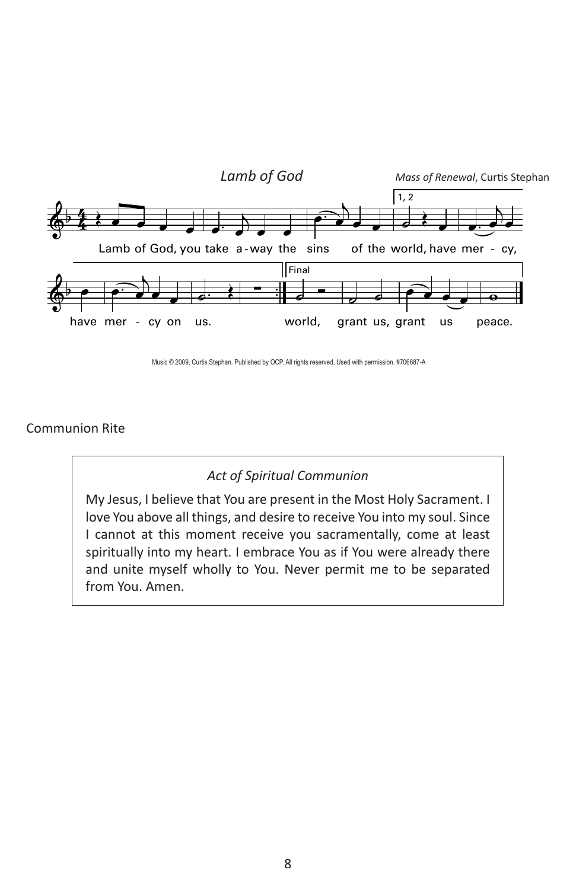

Music © 2009, Curtis Stephan. Published by OCP. All rights reserved. Used with permission. #706687-A

Communion Rite

### *Act of Spiritual Communion*

My Jesus, I believe that You are present in the Most Holy Sacrament. I love You above all things, and desire to receive You into my soul. Since I cannot at this moment receive you sacramentally, come at least spiritually into my heart. I embrace You as if You were already there and unite myself wholly to You. Never permit me to be separated from You. Amen.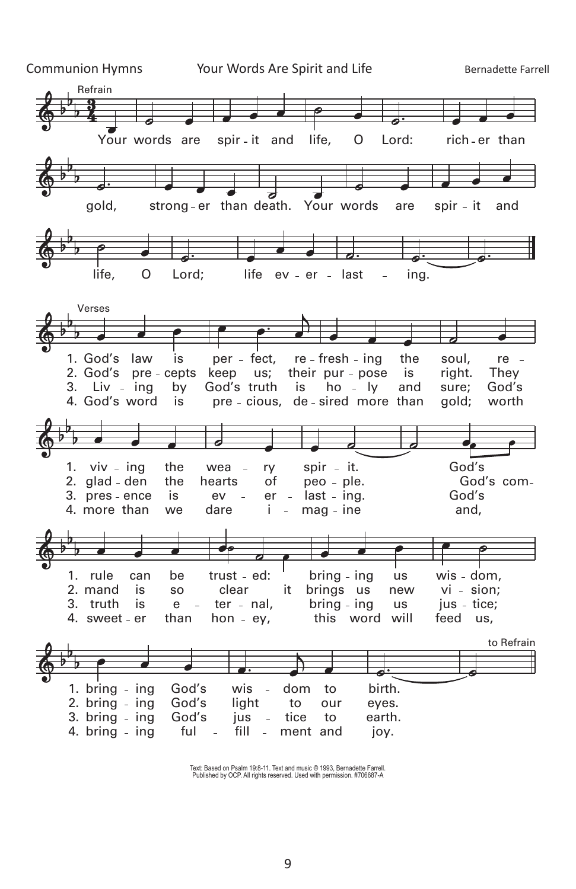

Text: Based on Psalm 19:8-11. Text and music © 1993, Bernadette Farrell. Published by OCP. All rights reserved. Used with permission. #706687-A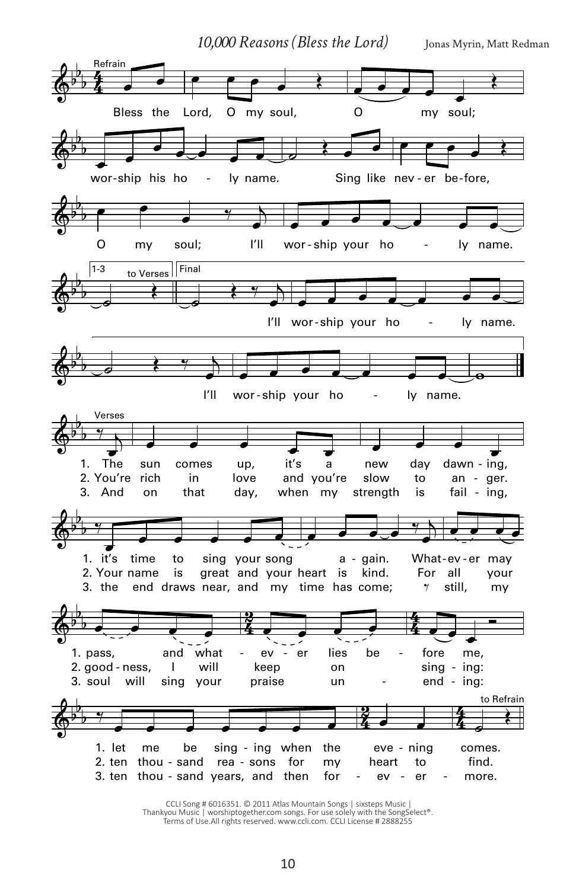*10,000 Reasons (Bless the Lord)* Jonas Myrin, Matt Redman **10,000 R**  $(Dl, l, l, l, l)$ 

Jonas Myrin, Matt Redman



© 2011, SHOUT! Music Publishing (APRA) (administered in the US and Canada at CapitolCMGPublishing.com), CCLI Song # 6016351. © 2011 Atlas Mountain Songs | sixsteps Music | Thankyou Music | worshiptogether.com songs, For use solely with the songselect.".<br>Terms of Use.All rights reserved. www.ccli.com. CCLI License # 2888255 Thankyou Music | worshiptogether.com songs. For use solely with the SongSelect®. Terms of Use.All rights reserved. www.ccli.com. CCLI License # 2888255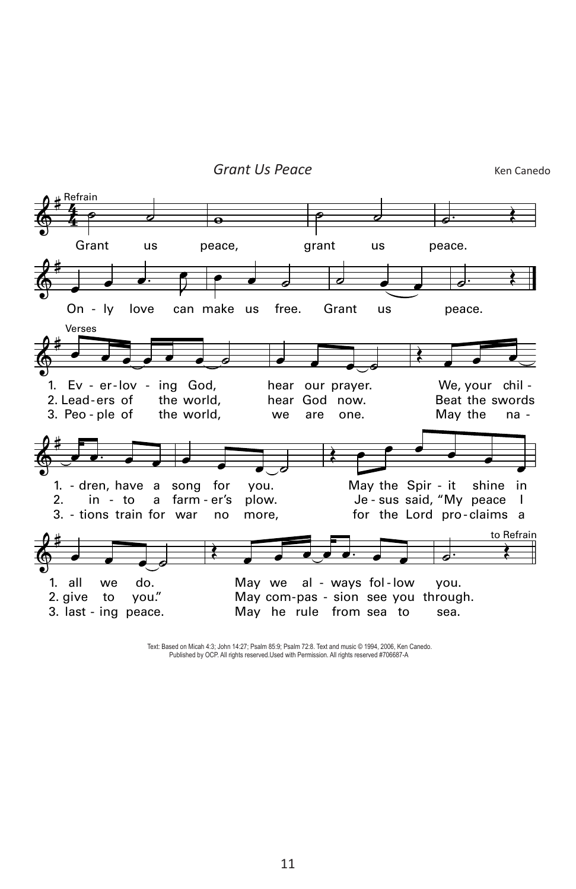*Grant Us Peace* Ken Canedo **Grant Us Peace**



Text: Based on Micah 4:3; John 14:27; Psalm 85:9; Psalm 72:8. Text and music © 1994, 2006, Ken Canedo. Text: Based on Micah 4:3; John 14:27; Psalm 85:9; Psalm 72:8. Text and music © 1994, 2006, Ken Canedo. Published by OCP. All rights reserved. Published by OCP. All rights reserved.Used with Permission. All rights reserved #706687-A